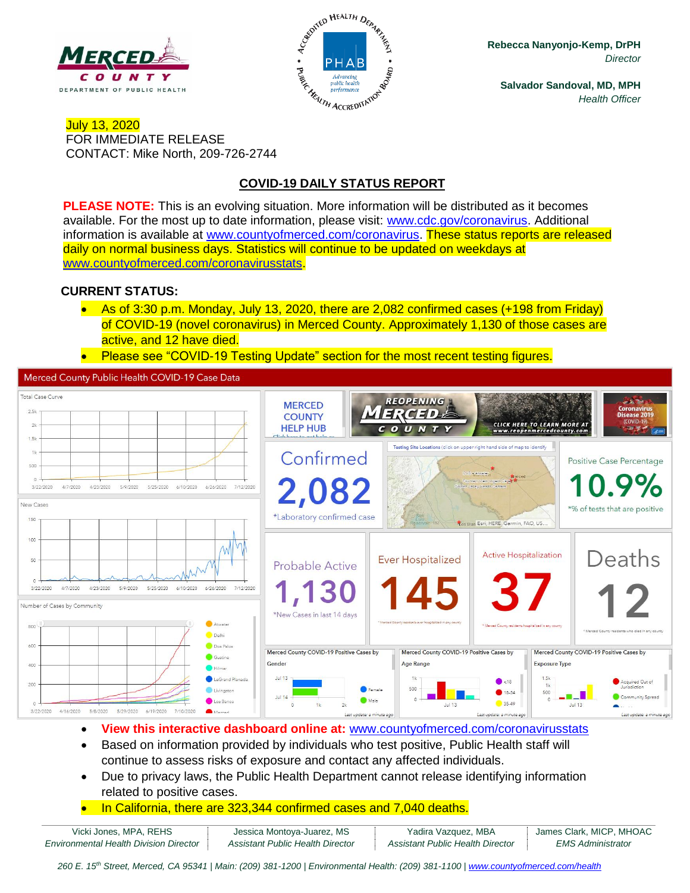



**Rebecca Nanyonjo-Kemp, DrPH** *Director*

**Salvador Sandoval, MD, MPH** *Health Officer*

### July 13, 2020 FOR IMMEDIATE RELEASE CONTACT: Mike North, 209-726-2744

# **COVID-19 DAILY STATUS REPORT**

**PLEASE NOTE:** This is an evolving situation. More information will be distributed as it becomes available. For the most up to date information, please visit: [www.cdc.gov/coronavirus.](http://www.cdc.gov/coronavirus) Additional information is available at [www.countyofmerced.com/coronavirus.](http://www.countyofmerced.com/coronavirus) These status reports are released daily on normal business days. Statistics will continue to be updated on weekdays at [www.countyofmerced.com/coronavirusstats.](http://www.countyofmerced.com/coronavirusstats)

### **CURRENT STATUS:**

- As of 3:30 p.m. Monday, July 13, 2020, there are 2,082 confirmed cases (+198 from Friday) of COVID-19 (novel coronavirus) in Merced County. Approximately 1,130 of those cases are active, and 12 have died.
- Please see "COVID-19 Testing Update" section for the most recent testing figures.

Merced County Public Health COVID-19 Case Data



- **View this interactive dashboard online at:** [www.countyofmerced.com/coronavirusstats](http://www.countyofmerced.com/coronavirusstats)
- Based on information provided by individuals who test positive, Public Health staff will continue to assess risks of exposure and contact any affected individuals.
- Due to privacy laws, the Public Health Department cannot release identifying information related to positive cases.
- In California, there are 323,344 confirmed cases and 7,040 deaths.

| Vicki Jones, MPA, REHS                        | Jessica Montoya-Juarez, MS       | Yadira Vazquez, MBA              | James Clark, MICP, MHOAC |
|-----------------------------------------------|----------------------------------|----------------------------------|--------------------------|
| <b>Environmental Health Division Director</b> | Assistant Public Health Director | Assistant Public Health Director | <b>EMS Administrator</b> |

*260 E. 15th Street, Merced, CA 95341 | Main: (209) 381-1200 | Environmental Health: (209) 381-1100* | *[www.countyofmerced.com/health](http://www.countyofmerced.com/health)*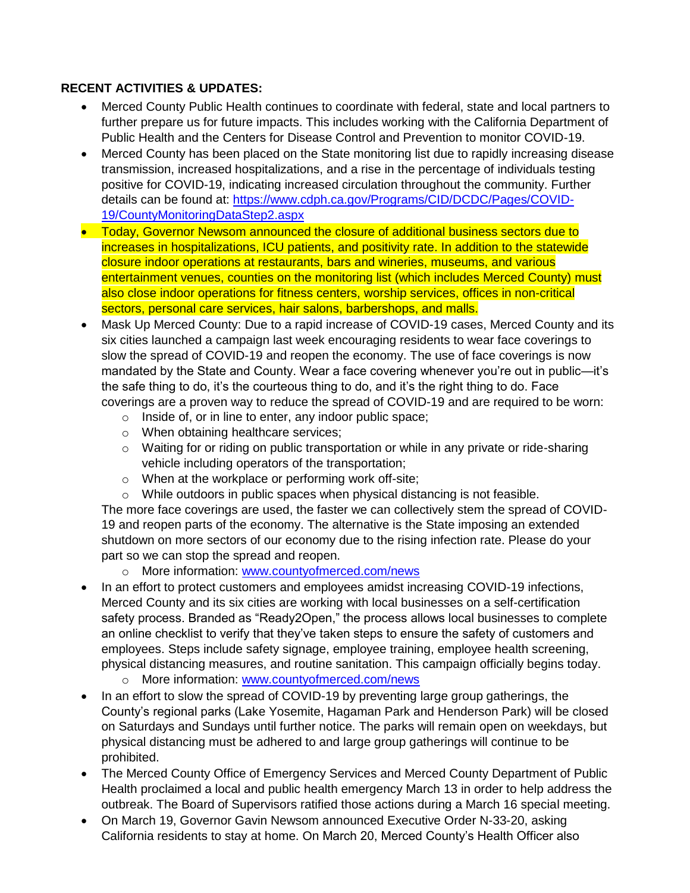# **RECENT ACTIVITIES & UPDATES:**

- Merced County Public Health continues to coordinate with federal, state and local partners to further prepare us for future impacts. This includes working with the California Department of Public Health and the Centers for Disease Control and Prevention to monitor COVID-19.
- Merced County has been placed on the State monitoring list due to rapidly increasing disease transmission, increased hospitalizations, and a rise in the percentage of individuals testing positive for COVID-19, indicating increased circulation throughout the community. Further details can be found at: [https://www.cdph.ca.gov/Programs/CID/DCDC/Pages/COVID-](https://www.cdph.ca.gov/Programs/CID/DCDC/Pages/COVID-19/CountyMonitoringDataStep2.aspx)[19/CountyMonitoringDataStep2.aspx](https://www.cdph.ca.gov/Programs/CID/DCDC/Pages/COVID-19/CountyMonitoringDataStep2.aspx)
- Today, Governor Newsom announced the closure of additional business sectors due to increases in hospitalizations, ICU patients, and positivity rate. In addition to the statewide closure indoor operations at restaurants, bars and wineries, museums, and various entertainment venues, counties on the monitoring list (which includes Merced County) must also close indoor operations for fitness centers, worship services, offices in non-critical sectors, personal care services, hair salons, barbershops, and malls.
- Mask Up Merced County: Due to a rapid increase of COVID-19 cases, Merced County and its six cities launched a campaign last week encouraging residents to wear face coverings to slow the spread of COVID-19 and reopen the economy. The use of face coverings is now mandated by the State and County. Wear a face covering whenever you're out in public—it's the safe thing to do, it's the courteous thing to do, and it's the right thing to do. Face coverings are a proven way to reduce the spread of COVID-19 and are required to be worn:
	- o Inside of, or in line to enter, any indoor public space;
	- o When obtaining healthcare services;
	- o Waiting for or riding on public transportation or while in any private or ride-sharing vehicle including operators of the transportation;
	- o When at the workplace or performing work off-site;
	- o While outdoors in public spaces when physical distancing is not feasible.

The more face coverings are used, the faster we can collectively stem the spread of COVID-19 and reopen parts of the economy. The alternative is the State imposing an extended shutdown on more sectors of our economy due to the rising infection rate. Please do your part so we can stop the spread and reopen.

- o More information: [www.countyofmerced.com/news](http://www.countyofmerced.com/news)
- In an effort to protect customers and employees amidst increasing COVID-19 infections, Merced County and its six cities are working with local businesses on a self-certification safety process. Branded as "Ready2Open," the process allows local businesses to complete an online checklist to verify that they've taken steps to ensure the safety of customers and employees. Steps include safety signage, employee training, employee health screening, physical distancing measures, and routine sanitation. This campaign officially begins today.
	- o More information: [www.countyofmerced.com/news](http://www.countyofmerced.com/news)
- In an effort to slow the spread of COVID-19 by preventing large group gatherings, the County's regional parks (Lake Yosemite, Hagaman Park and Henderson Park) will be closed on Saturdays and Sundays until further notice. The parks will remain open on weekdays, but physical distancing must be adhered to and large group gatherings will continue to be prohibited.
- The Merced County Office of Emergency Services and Merced County Department of Public Health proclaimed a local and public health emergency March 13 in order to help address the outbreak. The Board of Supervisors ratified those actions during a March 16 special meeting.
- On March 19, Governor Gavin Newsom announced Executive Order N-33-20, asking California residents to stay at home. On March 20, Merced County's Health Officer also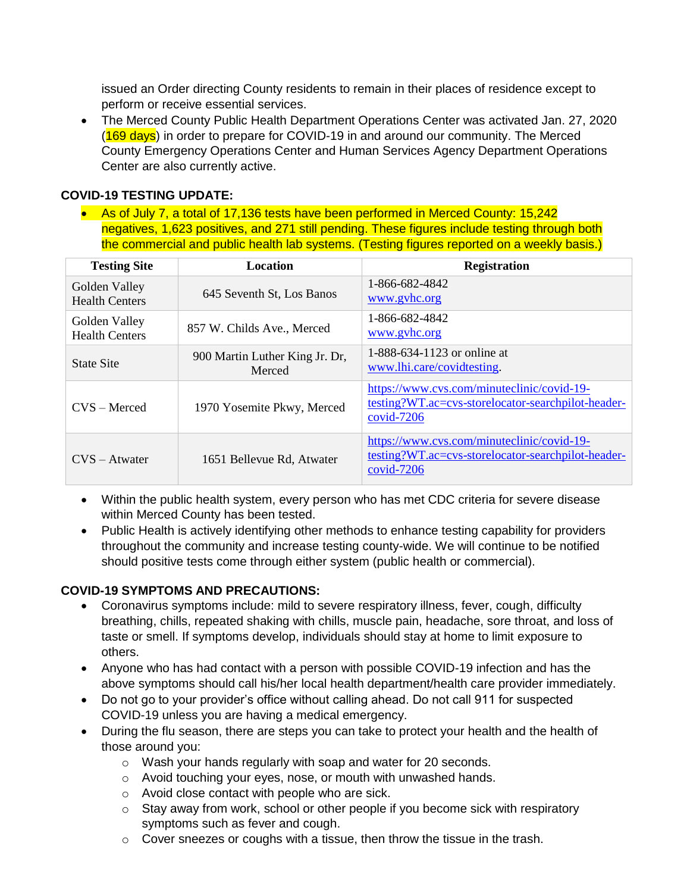issued an Order directing County residents to remain in their places of residence except to perform or receive essential services.

• The Merced County Public Health Department Operations Center was activated Jan. 27, 2020 (169 days) in order to prepare for COVID-19 in and around our community. The Merced County Emergency Operations Center and Human Services Agency Department Operations Center are also currently active.

## **COVID-19 TESTING UPDATE:**

• As of July 7, a total of 17,136 tests have been performed in Merced County: 15,242 negatives, 1,623 positives, and 271 still pending. These figures include testing through both the commercial and public health lab systems. (Testing figures reported on a weekly basis.)

| <b>Testing Site</b>                    | Location                                 | <b>Registration</b>                                                                                            |
|----------------------------------------|------------------------------------------|----------------------------------------------------------------------------------------------------------------|
| Golden Valley<br><b>Health Centers</b> | 645 Seventh St, Los Banos                | 1-866-682-4842<br>www.gyhc.org                                                                                 |
| Golden Valley<br><b>Health Centers</b> | 857 W. Childs Ave., Merced               | 1-866-682-4842<br>www.gyhc.org                                                                                 |
| <b>State Site</b>                      | 900 Martin Luther King Jr. Dr,<br>Merced | 1-888-634-1123 or online at<br>www.lhi.care/covidtesting.                                                      |
| $CVS - Mercedes$                       | 1970 Yosemite Pkwy, Merced               | https://www.cvs.com/minuteclinic/covid-19-<br>testing?WT.ac=cvs-storelocator-searchpilot-header-<br>covid-7206 |
| $CVS - Atwater$                        | 1651 Bellevue Rd, Atwater                | https://www.cvs.com/minuteclinic/covid-19-<br>testing?WT.ac=cvs-storelocator-searchpilot-header-<br>covid-7206 |

- Within the public health system, every person who has met CDC criteria for severe disease within Merced County has been tested.
- Public Health is actively identifying other methods to enhance testing capability for providers throughout the community and increase testing county-wide. We will continue to be notified should positive tests come through either system (public health or commercial).

#### **COVID-19 SYMPTOMS AND PRECAUTIONS:**

- Coronavirus symptoms include: mild to severe respiratory illness, fever, cough, difficulty breathing, chills, repeated shaking with chills, muscle pain, headache, sore throat, and loss of taste or smell. If symptoms develop, individuals should stay at home to limit exposure to others.
- Anyone who has had contact with a person with possible COVID-19 infection and has the above symptoms should call his/her local health department/health care provider immediately.
- Do not go to your provider's office without calling ahead. Do not call 911 for suspected COVID-19 unless you are having a medical emergency.
- During the flu season, there are steps you can take to protect your health and the health of those around you:
	- o Wash your hands regularly with soap and water for 20 seconds.
	- o Avoid touching your eyes, nose, or mouth with unwashed hands.
	- o Avoid close contact with people who are sick.
	- o Stay away from work, school or other people if you become sick with respiratory symptoms such as fever and cough.
	- $\circ$  Cover sneezes or coughs with a tissue, then throw the tissue in the trash.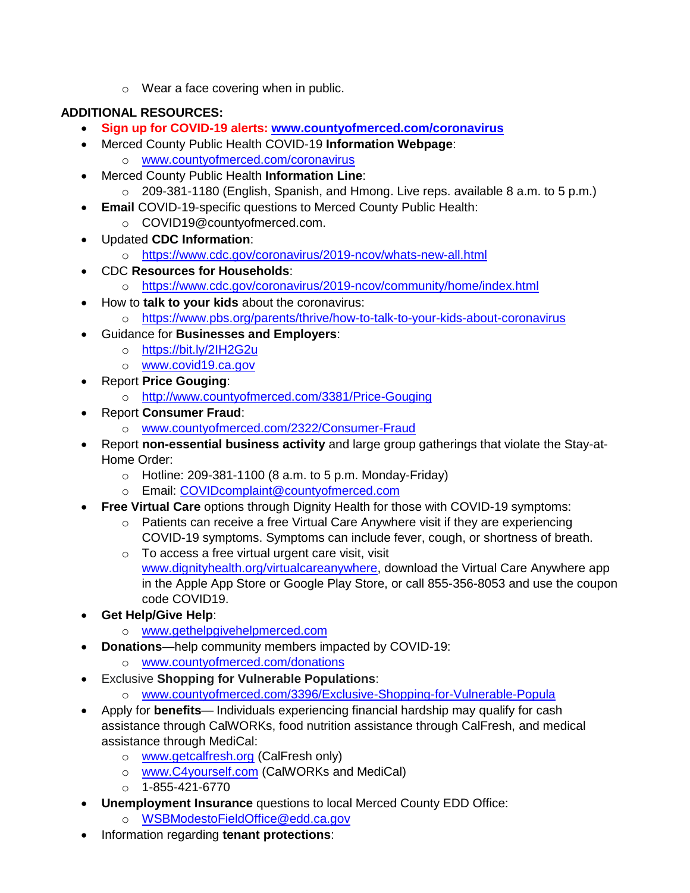o Wear a face covering when in public.

# **ADDITIONAL RESOURCES:**

- **Sign up for COVID-19 alerts: [www.countyofmerced.com/coronavirus](http://www.countyofmerced.com/coronavirus)**
- Merced County Public Health COVID-19 **Information Webpage**: o [www.countyofmerced.com/coronavirus](http://www.countyofmerced.com/coronavirus)
- Merced County Public Health **Information Line**:
	- o 209-381-1180 (English, Spanish, and Hmong. Live reps. available 8 a.m. to 5 p.m.)
- **Email** COVID-19-specific questions to Merced County Public Health:
	- o COVID19@countyofmerced.com.
- Updated **CDC Information**:
	- o <https://www.cdc.gov/coronavirus/2019-ncov/whats-new-all.html>
- CDC **Resources for Households**:
	- o <https://www.cdc.gov/coronavirus/2019-ncov/community/home/index.html>
- How to **talk to your kids** about the coronavirus:
	- o <https://www.pbs.org/parents/thrive/how-to-talk-to-your-kids-about-coronavirus>
- Guidance for **Businesses and Employers**:
	- o <https://bit.ly/2IH2G2u>
	- o [www.covid19.ca.gov](http://www.covid19.ca.gov/)
- Report **Price Gouging**:
	- o <http://www.countyofmerced.com/3381/Price-Gouging>
- Report **Consumer Fraud**:
	- o [www.countyofmerced.com/2322/Consumer-Fraud](http://www.countyofmerced.com/2322/Consumer-Fraud)
- Report **non-essential business activity** and large group gatherings that violate the Stay-at-Home Order:
	- $\circ$  Hotline: 209-381-1100 (8 a.m. to 5 p.m. Monday-Friday)
	- o Email: [COVIDcomplaint@countyofmerced.com](mailto:COVIDcomplaint@countyofmerced.com)
- **Free Virtual Care** options through Dignity Health for those with COVID-19 symptoms:
	- o Patients can receive a free Virtual Care Anywhere visit if they are experiencing COVID-19 symptoms. Symptoms can include fever, cough, or shortness of breath.
	- o To access a free virtual urgent care visit, visit [www.dignityhealth.org/virtualcareanywhere,](http://www.dignityhealth.org/virtualcareanywhere) download the Virtual Care Anywhere app in the Apple App Store or Google Play Store, or call 855-356-8053 and use the coupon code COVID19.
- **Get Help/Give Help**:
	- o [www.gethelpgivehelpmerced.com](http://www.gethelpgivehelpmerced.com/)
- **Donations**—help community members impacted by COVID-19:
	- o [www.countyofmerced.com/donations](http://www.countyofmerced.com/donations)
- **Exclusive Shopping for Vulnerable Populations:** 
	- o [www.countyofmerced.com/3396/Exclusive-Shopping-for-Vulnerable-Popula](http://www.countyofmerced.com/3396/Exclusive-Shopping-for-Vulnerable-Popula)
- Apply for **benefits** Individuals experiencing financial hardship may qualify for cash assistance through CalWORKs, food nutrition assistance through CalFresh, and medical assistance through MediCal:
	- o [www.getcalfresh.org](http://www.getcalfresh.org/) (CalFresh only)
	- o [www.C4yourself.com](http://www.c4yourself.com/) (CalWORKs and MediCal)
	- $O$  1-855-421-6770
- **Unemployment Insurance** questions to local Merced County EDD Office:
	- o [WSBModestoFieldOffice@edd.ca.gov](mailto:WSBModestoFieldOffice@edd.ca.gov)
- Information regarding **tenant protections**: